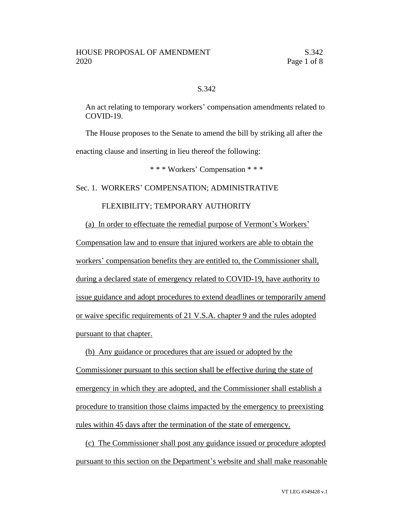# S.342

An act relating to temporary workers' compensation amendments related to COVID-19.

The House proposes to the Senate to amend the bill by striking all after the enacting clause and inserting in lieu thereof the following:

\* \* \* Workers' Compensation \* \* \*

### Sec. 1. WORKERS' COMPENSATION; ADMINISTRATIVE

## FLEXIBILITY; TEMPORARY AUTHORITY

(a) In order to effectuate the remedial purpose of Vermont's Workers'

Compensation law and to ensure that injured workers are able to obtain the workers' compensation benefits they are entitled to, the Commissioner shall, during a declared state of emergency related to COVID-19, have authority to issue guidance and adopt procedures to extend deadlines or temporarily amend or waive specific requirements of 21 V.S.A. chapter 9 and the rules adopted pursuant to that chapter.

(b) Any guidance or procedures that are issued or adopted by the Commissioner pursuant to this section shall be effective during the state of emergency in which they are adopted, and the Commissioner shall establish a procedure to transition those claims impacted by the emergency to preexisting rules within 45 days after the termination of the state of emergency.

(c) The Commissioner shall post any guidance issued or procedure adopted pursuant to this section on the Department's website and shall make reasonable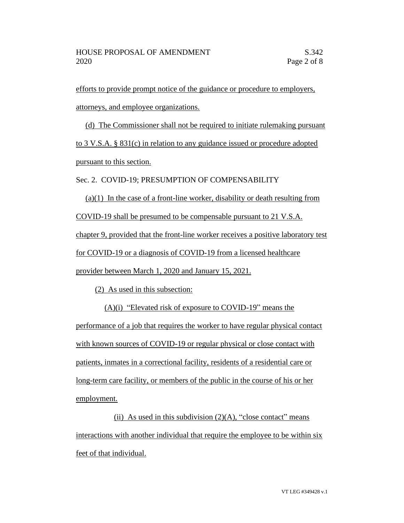efforts to provide prompt notice of the guidance or procedure to employers, attorneys, and employee organizations.

(d) The Commissioner shall not be required to initiate rulemaking pursuant to 3 V.S.A. § 831(c) in relation to any guidance issued or procedure adopted pursuant to this section.

Sec. 2. COVID-19; PRESUMPTION OF COMPENSABILITY

 $(a)(1)$  In the case of a front-line worker, disability or death resulting from COVID-19 shall be presumed to be compensable pursuant to 21 V.S.A. chapter 9, provided that the front-line worker receives a positive laboratory test for COVID-19 or a diagnosis of COVID-19 from a licensed healthcare provider between March 1, 2020 and January 15, 2021.

(2) As used in this subsection:

(A)(i) "Elevated risk of exposure to COVID-19" means the performance of a job that requires the worker to have regular physical contact with known sources of COVID-19 or regular physical or close contact with patients, inmates in a correctional facility, residents of a residential care or long-term care facility, or members of the public in the course of his or her employment.

(ii) As used in this subdivision  $(2)(A)$ , "close contact" means interactions with another individual that require the employee to be within six feet of that individual.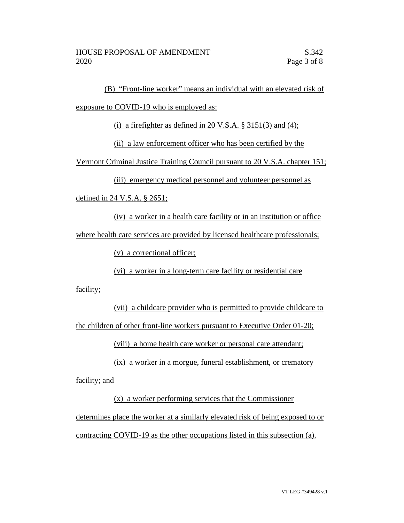(B) "Front-line worker" means an individual with an elevated risk of

exposure to COVID-19 who is employed as:

(i) a firefighter as defined in 20 V.S.A.  $\S$  3151(3) and (4);

(ii) a law enforcement officer who has been certified by the

Vermont Criminal Justice Training Council pursuant to 20 V.S.A. chapter 151;

(iii) emergency medical personnel and volunteer personnel as

defined in 24 V.S.A. § 2651;

(iv) a worker in a health care facility or in an institution or office where health care services are provided by licensed healthcare professionals;

(v) a correctional officer;

(vi) a worker in a long-term care facility or residential care

facility;

(vii) a childcare provider who is permitted to provide childcare to the children of other front-line workers pursuant to Executive Order 01-20;

(viii) a home health care worker or personal care attendant;

(ix) a worker in a morgue, funeral establishment, or crematory facility; and

(x) a worker performing services that the Commissioner determines place the worker at a similarly elevated risk of being exposed to or contracting COVID-19 as the other occupations listed in this subsection (a).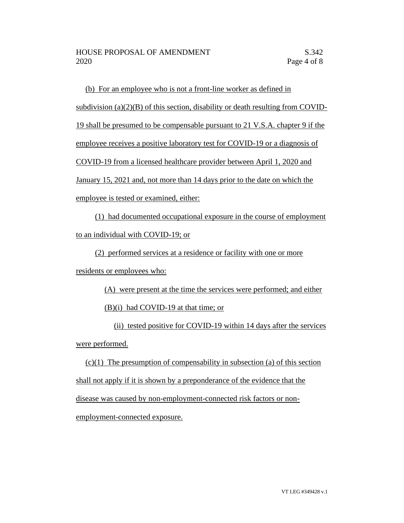(b) For an employee who is not a front-line worker as defined in subdivision (a) $(2)(B)$  of this section, disability or death resulting from COVID-19 shall be presumed to be compensable pursuant to 21 V.S.A. chapter 9 if the employee receives a positive laboratory test for COVID-19 or a diagnosis of COVID-19 from a licensed healthcare provider between April 1, 2020 and January 15, 2021 and, not more than 14 days prior to the date on which the employee is tested or examined, either:

(1) had documented occupational exposure in the course of employment to an individual with COVID-19; or

(2) performed services at a residence or facility with one or more

residents or employees who:

(A) were present at the time the services were performed; and either

(B)(i) had COVID-19 at that time; or

(ii) tested positive for COVID-19 within 14 days after the services were performed.

 $(c)(1)$  The presumption of compensability in subsection (a) of this section shall not apply if it is shown by a preponderance of the evidence that the disease was caused by non-employment-connected risk factors or nonemployment-connected exposure.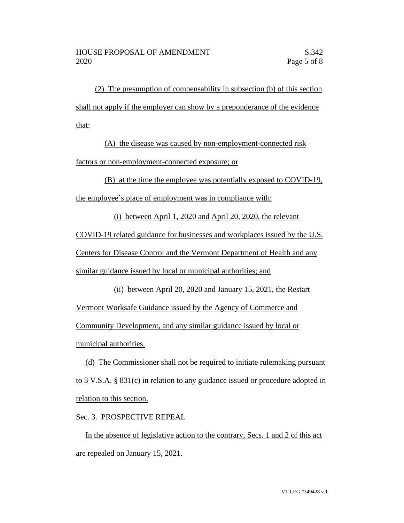(2) The presumption of compensability in subsection (b) of this section shall not apply if the employer can show by a preponderance of the evidence that:

(A) the disease was caused by non-employment-connected risk factors or non-employment-connected exposure; or

(B) at the time the employee was potentially exposed to COVID-19,

the employee's place of employment was in compliance with:

(i) between April 1, 2020 and April 20, 2020, the relevant

COVID-19 related guidance for businesses and workplaces issued by the U.S.

Centers for Disease Control and the Vermont Department of Health and any

similar guidance issued by local or municipal authorities; and

(ii) between April 20, 2020 and January 15, 2021, the Restart Vermont Worksafe Guidance issued by the Agency of Commerce and Community Development, and any similar guidance issued by local or municipal authorities.

(d) The Commissioner shall not be required to initiate rulemaking pursuant to 3 V.S.A. § 831(c) in relation to any guidance issued or procedure adopted in relation to this section.

Sec. 3. PROSPECTIVE REPEAL

In the absence of legislative action to the contrary, Secs. 1 and 2 of this act are repealed on January 15, 2021.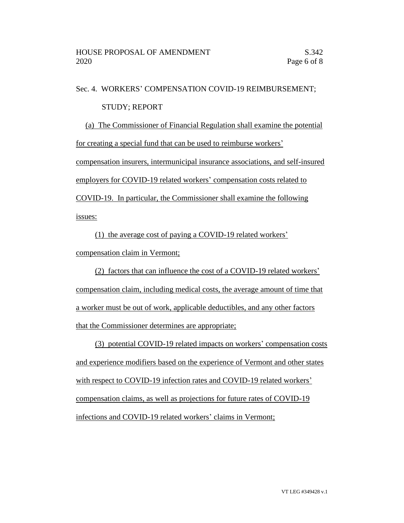### Sec. 4. WORKERS' COMPENSATION COVID-19 REIMBURSEMENT;

## STUDY; REPORT

(a) The Commissioner of Financial Regulation shall examine the potential for creating a special fund that can be used to reimburse workers' compensation insurers, intermunicipal insurance associations, and self-insured employers for COVID-19 related workers' compensation costs related to

COVID-19. In particular, the Commissioner shall examine the following issues:

(1) the average cost of paying a COVID-19 related workers' compensation claim in Vermont;

(2) factors that can influence the cost of a COVID-19 related workers' compensation claim, including medical costs, the average amount of time that a worker must be out of work, applicable deductibles, and any other factors that the Commissioner determines are appropriate;

(3) potential COVID-19 related impacts on workers' compensation costs and experience modifiers based on the experience of Vermont and other states with respect to COVID-19 infection rates and COVID-19 related workers' compensation claims, as well as projections for future rates of COVID-19 infections and COVID-19 related workers' claims in Vermont;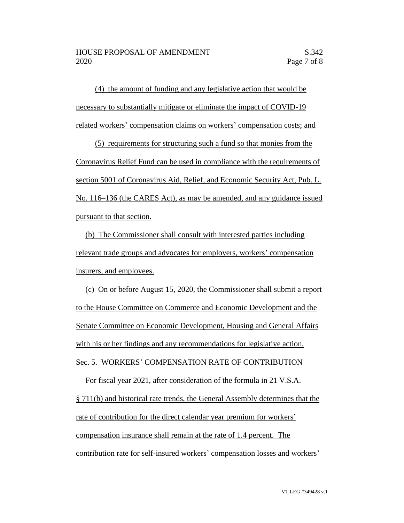(4) the amount of funding and any legislative action that would be necessary to substantially mitigate or eliminate the impact of COVID-19 related workers' compensation claims on workers' compensation costs; and

(5) requirements for structuring such a fund so that monies from the Coronavirus Relief Fund can be used in compliance with the requirements of section 5001 of Coronavirus Aid, Relief, and Economic Security Act, Pub. L. No. 116–136 (the CARES Act), as may be amended, and any guidance issued pursuant to that section.

(b) The Commissioner shall consult with interested parties including relevant trade groups and advocates for employers, workers' compensation insurers, and employees.

(c) On or before August 15, 2020, the Commissioner shall submit a report to the House Committee on Commerce and Economic Development and the Senate Committee on Economic Development, Housing and General Affairs with his or her findings and any recommendations for legislative action. Sec. 5. WORKERS' COMPENSATION RATE OF CONTRIBUTION

For fiscal year 2021, after consideration of the formula in 21 V.S.A. § 711(b) and historical rate trends, the General Assembly determines that the rate of contribution for the direct calendar year premium for workers' compensation insurance shall remain at the rate of 1.4 percent. The contribution rate for self-insured workers' compensation losses and workers'